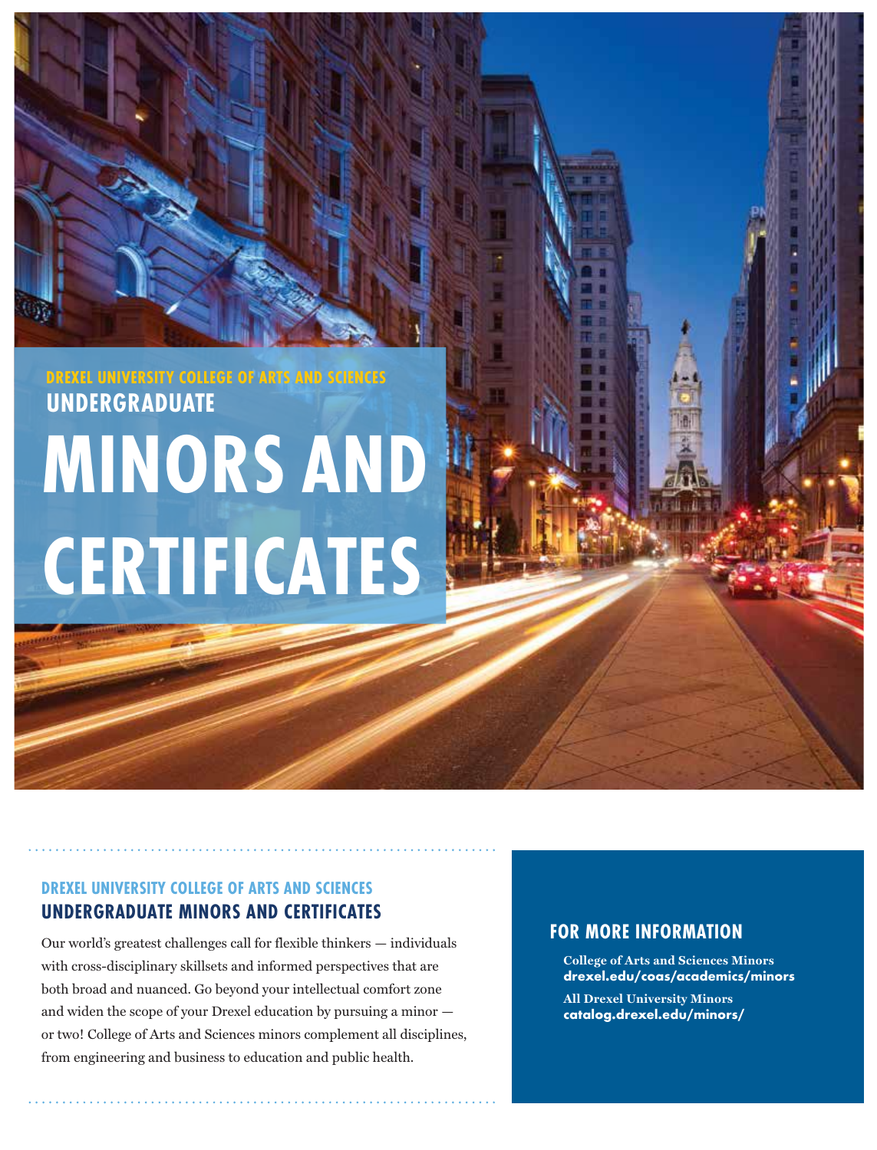# **MINORS AND CERTIFICATES DREXEL UNIVERSITY COLLEGE OF ARTS AND SCIENCES UNDERGRADUATE**

## **DREXEL UNIVERSITY COLLEGE OF ARTS AND SCIENCES UNDERGRADUATE MINORS AND CERTIFICATES**

Our world's greatest challenges call for flexible thinkers — individuals with cross-disciplinary skillsets and informed perspectives that are both broad and nuanced. Go beyond your intellectual comfort zone and widen the scope of your Drexel education by pursuing a minor or two! College of Arts and Sciences minors complement all disciplines, from engineering and business to education and public health.

## **FOR MORE INFORMATION**

**College of Arts and Sciences Minors drexel.edu/coas/academics/minors**

**All Drexel University Minors catalog.drexel.edu/minors/**